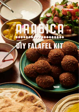# **DRIJENCA**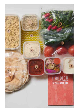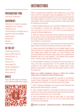# **INSTRUCTIONS**

# PREPARATION TIME:

Less than 30 Minutes

# EQUIPMENT:

Deep fryer or medium saucepan Vegetable oil for cooking Weighing scale Thermometer for checking the oil Board for the formed falafels Slotted spoon Mixing bowl **Spoons** Paper towel

# IN THE KIT

Falafel seasoning  $\cap$ Beiruti falafel base  $(2)$ Salad & herbs  $(3)$ Pickles (4) Hummus (5) Wrap paper  $(6)$ Khobez flatbread  $\Omega$ Tahini sauce 8 Chilli sauce (9)

# MUSIC

Scan this QR code to download your Arabica spotify dinner playlist



Follow manufacturers guidelines when adding oil to your deep fryer or half fill a saucepan. Heat the vegetable oil to 170°C. It's important to check the temperature of the oil using a thermometer. The perfect falafel is hot and crunchy on the outside, fluffy and herby within. We've included enough mixture to make extra falafel for dunking into hummus!

1. Add the falafel seasoning  $(1)$  to the Beiruti falafel base  $(2)$  and mix thoroughly to ensure the seasoning (which includes a leavening agent to make fluffier lighter falafel) is evenly dispersed through the Beiruti falafel base.

2. Wash the salad and herbs 3. Cut the tomatoes and cucumber into a rough 1cm dice. Finely slice the radishes. Pick the leaves of the herbs. Roughly chop the parsley and tear the mint. Combine and transfer to a serving bowl.

3. Transfer the pickles  $\left(4\right)$  to a bowl. Spoon the hummus  $\left(5\right)$ onto a plate. Decant the tahini sauce  $\circledast$  and chilli sauce  $\circledast$  to bowls.

4. Scoop a spoonful of the falafel mix, into a falafel maker or your hand and form into walnut-sized balls, weighing approximately 30g. Flatten them slightly and place on a tray. Continue until you have finished the mixture, being careful not to upsize them, otherwise they won't cook properly – the outside will be golden brown, and the centre will still be a little raw.

5. Add the falafel in batches of 6-9 pieces and cook for about 4-5 mins, until crisp and gold brown on the outside and soft and crumbly on the inside. Remove using a slotted spoon, drain excess oil and place in a bowl lined with paper towel to remove any excess oil.

### **Watch our falafel instagram stories or follow the simple steps below to make the perfect falafel wrap.**

6. Position the Arabica wrap paper  $(6)$  in portrait on your kitchen counter. Place a flatbread  $(7)$  on top of the paper with the right outer edge of the bread in line with the centre fold crease.

7. Place 3 piping hot falafels in the centre of each flatbread and gently squash with the back of a spoon.

8. Add a heaped spoonful of the salad & herb mix and some pickles  $\overline{4}$  of your choice. Drizzle generously with tahini sauce  $\overline{8}$ and a touch of chilli sauce  $(9)$ , to your taste.

9. Roll the flatbreads and fold the right edge of wrap paper towards the centre (to help catch all the juices) and roll the wrap up and serve immediately.

 **Share a picture** @**ArabicaLondon #Arabicafalafel**